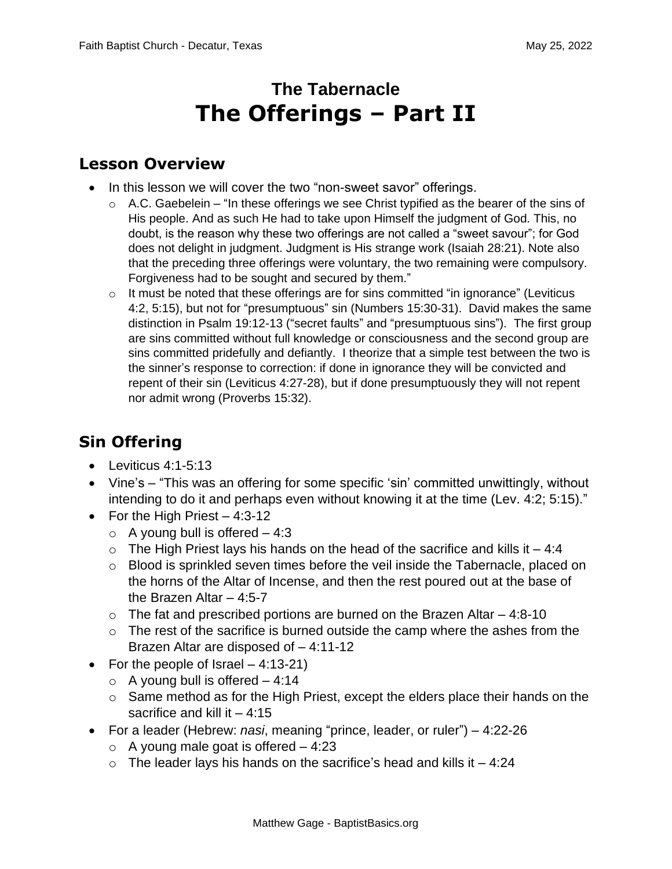# **The Tabernacle The Offerings – Part II**

#### **Lesson Overview**

- In this lesson we will cover the two "non-sweet savor" offerings.
	- $\circ$  A.C. Gaebelein "In these offerings we see Christ typified as the bearer of the sins of His people. And as such He had to take upon Himself the judgment of God. This, no doubt, is the reason why these two offerings are not called a "sweet savour"; for God does not delight in judgment. Judgment is His strange work (Isaiah 28:21). Note also that the preceding three offerings were voluntary, the two remaining were compulsory. Forgiveness had to be sought and secured by them."
	- $\circ$  It must be noted that these offerings are for sins committed "in ignorance" (Leviticus 4:2, 5:15), but not for "presumptuous" sin (Numbers 15:30-31). David makes the same distinction in Psalm 19:12-13 ("secret faults" and "presumptuous sins"). The first group are sins committed without full knowledge or consciousness and the second group are sins committed pridefully and defiantly. I theorize that a simple test between the two is the sinner's response to correction: if done in ignorance they will be convicted and repent of their sin (Leviticus 4:27-28), but if done presumptuously they will not repent nor admit wrong (Proverbs 15:32).

## **Sin Offering**

- Leviticus 4:1-5:13
- Vine's "This was an offering for some specific 'sin' committed unwittingly, without intending to do it and perhaps even without knowing it at the time (Lev. 4:2; 5:15)."
- For the High Priest  $-4:3-12$ 
	- $\circ$  A young bull is offered  $-4:3$
	- $\circ$  The High Priest lays his hands on the head of the sacrifice and kills it  $-4:4$
	- o Blood is sprinkled seven times before the veil inside the Tabernacle, placed on the horns of the Altar of Incense, and then the rest poured out at the base of the Brazen Altar – 4:5-7
	- $\circ$  The fat and prescribed portions are burned on the Brazen Altar  $-4:8-10$
	- $\circ$  The rest of the sacrifice is burned outside the camp where the ashes from the Brazen Altar are disposed of – 4:11-12
- For the people of Israel  $-4:13-21$ )
	- $\circ$  A young bull is offered  $-4:14$
	- o Same method as for the High Priest, except the elders place their hands on the sacrifice and kill it  $-4:15$
- For a leader (Hebrew: *nasi*, meaning "prince, leader, or ruler") 4:22-26
	- $\circ$  A young male goat is offered  $-4:23$
	- $\circ$  The leader lays his hands on the sacrifice's head and kills it  $-4:24$